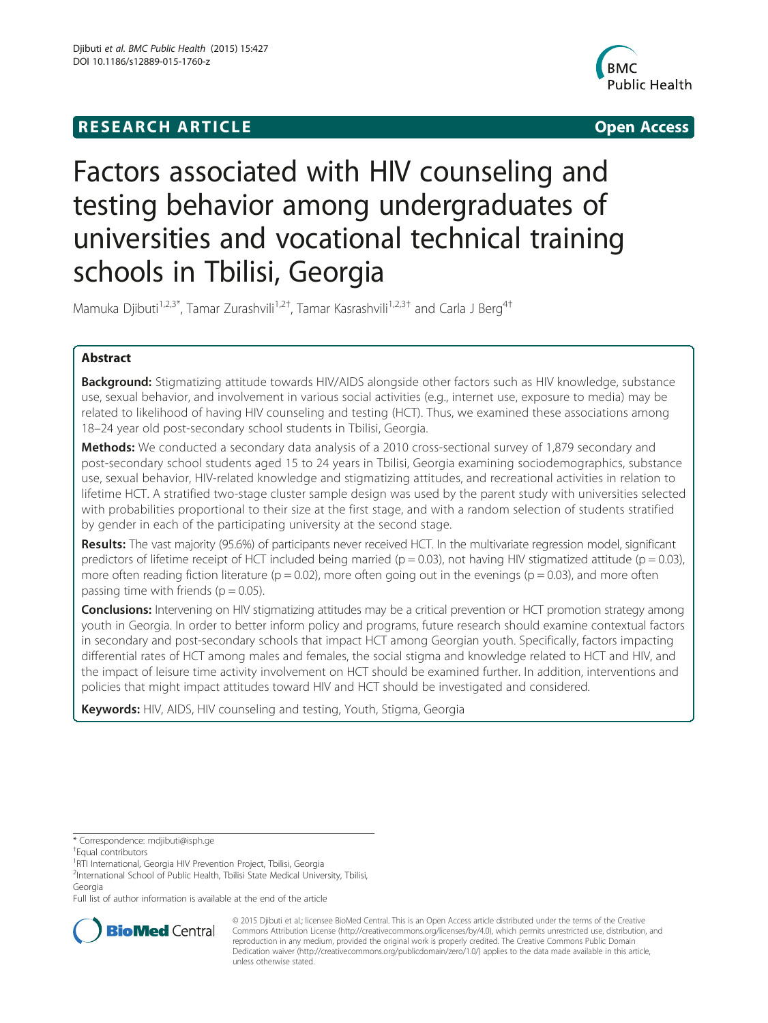# **RESEARCH ARTICLE Example 2014 CONSIDERING CONSIDERING CONSIDERING CONSIDERING CONSIDERING CONSIDERING CONSIDERING CONSIDERING CONSIDERING CONSIDERING CONSIDERING CONSIDERING CONSIDERING CONSIDERING CONSIDERING CONSIDE**



# Factors associated with HIV counseling and testing behavior among undergraduates of universities and vocational technical training schools in Tbilisi, Georgia

Mamuka Djibuti<sup>1,2,3\*</sup>, Tamar Zurashvili<sup>1,2†</sup>, Tamar Kasrashvili<sup>1,2,3†</sup> and Carla J Berg<sup>4†</sup>

# Abstract

**Background:** Stigmatizing attitude towards HIV/AIDS alongside other factors such as HIV knowledge, substance use, sexual behavior, and involvement in various social activities (e.g., internet use, exposure to media) may be related to likelihood of having HIV counseling and testing (HCT). Thus, we examined these associations among 18–24 year old post-secondary school students in Tbilisi, Georgia.

Methods: We conducted a secondary data analysis of a 2010 cross-sectional survey of 1,879 secondary and post-secondary school students aged 15 to 24 years in Tbilisi, Georgia examining sociodemographics, substance use, sexual behavior, HIV-related knowledge and stigmatizing attitudes, and recreational activities in relation to lifetime HCT. A stratified two-stage cluster sample design was used by the parent study with universities selected with probabilities proportional to their size at the first stage, and with a random selection of students stratified by gender in each of the participating university at the second stage.

Results: The vast majority (95.6%) of participants never received HCT. In the multivariate regression model, significant predictors of lifetime receipt of HCT included being married ( $p = 0.03$ ), not having HIV stigmatized attitude ( $p = 0.03$ ), more often reading fiction literature ( $p = 0.02$ ), more often going out in the evenings ( $p = 0.03$ ), and more often passing time with friends ( $p = 0.05$ ).

**Conclusions:** Intervening on HIV stigmatizing attitudes may be a critical prevention or HCT promotion strategy among youth in Georgia. In order to better inform policy and programs, future research should examine contextual factors in secondary and post-secondary schools that impact HCT among Georgian youth. Specifically, factors impacting differential rates of HCT among males and females, the social stigma and knowledge related to HCT and HIV, and the impact of leisure time activity involvement on HCT should be examined further. In addition, interventions and policies that might impact attitudes toward HIV and HCT should be investigated and considered.

Keywords: HIV, AIDS, HIV counseling and testing, Youth, Stigma, Georgia

<sup>+</sup>Equal contributors

2 International School of Public Health, Tbilisi State Medical University, Tbilisi, Georgia

Full list of author information is available at the end of the article



© 2015 Djibuti et al.; licensee BioMed Central. This is an Open Access article distributed under the terms of the Creative Commons Attribution License [\(http://creativecommons.org/licenses/by/4.0\)](http://creativecommons.org/licenses/by/4.0), which permits unrestricted use, distribution, and reproduction in any medium, provided the original work is properly credited. The Creative Commons Public Domain Dedication waiver [\(http://creativecommons.org/publicdomain/zero/1.0/](http://creativecommons.org/publicdomain/zero/1.0/)) applies to the data made available in this article, unless otherwise stated.

<sup>\*</sup> Correspondence: [mdjibuti@isph.ge](mailto:mdjibuti@isph.ge) †

<sup>&</sup>lt;sup>1</sup>RTI International, Georgia HIV Prevention Project, Tbilisi, Georgia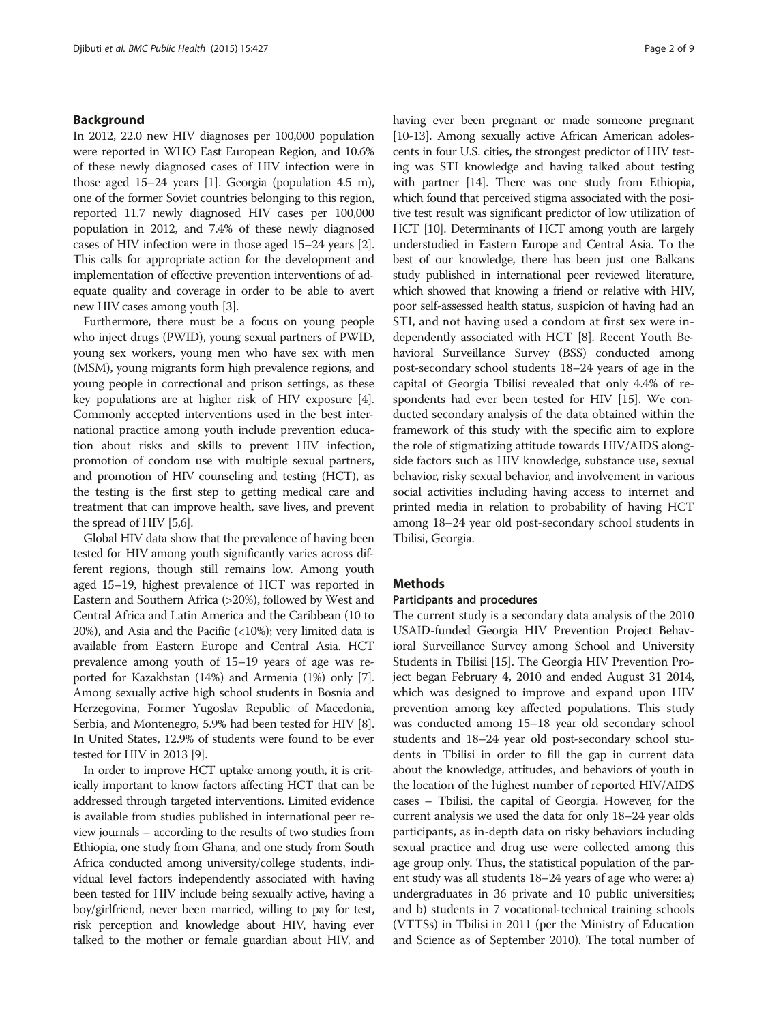#### Background

In 2012, 22.0 new HIV diagnoses per 100,000 population were reported in WHO East European Region, and 10.6% of these newly diagnosed cases of HIV infection were in those aged 15–24 years [\[1](#page-7-0)]. Georgia (population 4.5 m), one of the former Soviet countries belonging to this region, reported 11.7 newly diagnosed HIV cases per 100,000 population in 2012, and 7.4% of these newly diagnosed cases of HIV infection were in those aged 15–24 years [[2](#page-7-0)]. This calls for appropriate action for the development and implementation of effective prevention interventions of adequate quality and coverage in order to be able to avert new HIV cases among youth [\[3](#page-7-0)].

Furthermore, there must be a focus on young people who inject drugs (PWID), young sexual partners of PWID, young sex workers, young men who have sex with men (MSM), young migrants form high prevalence regions, and young people in correctional and prison settings, as these key populations are at higher risk of HIV exposure [[4](#page-7-0)]. Commonly accepted interventions used in the best international practice among youth include prevention education about risks and skills to prevent HIV infection, promotion of condom use with multiple sexual partners, and promotion of HIV counseling and testing (HCT), as the testing is the first step to getting medical care and treatment that can improve health, save lives, and prevent the spread of HIV [\[5,6\]](#page-7-0).

Global HIV data show that the prevalence of having been tested for HIV among youth significantly varies across different regions, though still remains low. Among youth aged 15–19, highest prevalence of HCT was reported in Eastern and Southern Africa (>20%), followed by West and Central Africa and Latin America and the Caribbean (10 to 20%), and Asia and the Pacific (<10%); very limited data is available from Eastern Europe and Central Asia. HCT prevalence among youth of 15–19 years of age was reported for Kazakhstan (14%) and Armenia (1%) only [[7](#page-7-0)]. Among sexually active high school students in Bosnia and Herzegovina, Former Yugoslav Republic of Macedonia, Serbia, and Montenegro, 5.9% had been tested for HIV [[8](#page-7-0)]. In United States, 12.9% of students were found to be ever tested for HIV in 2013 [\[9\]](#page-7-0).

In order to improve HCT uptake among youth, it is critically important to know factors affecting HCT that can be addressed through targeted interventions. Limited evidence is available from studies published in international peer review journals – according to the results of two studies from Ethiopia, one study from Ghana, and one study from South Africa conducted among university/college students, individual level factors independently associated with having been tested for HIV include being sexually active, having a boy/girlfriend, never been married, willing to pay for test, risk perception and knowledge about HIV, having ever talked to the mother or female guardian about HIV, and having ever been pregnant or made someone pregnant [[10](#page-7-0)-[13\]](#page-7-0). Among sexually active African American adolescents in four U.S. cities, the strongest predictor of HIV testing was STI knowledge and having talked about testing with partner [\[14\]](#page-7-0). There was one study from Ethiopia, which found that perceived stigma associated with the positive test result was significant predictor of low utilization of HCT [[10](#page-7-0)]. Determinants of HCT among youth are largely understudied in Eastern Europe and Central Asia. To the best of our knowledge, there has been just one Balkans study published in international peer reviewed literature, which showed that knowing a friend or relative with HIV, poor self-assessed health status, suspicion of having had an STI, and not having used a condom at first sex were independently associated with HCT [\[8](#page-7-0)]. Recent Youth Behavioral Surveillance Survey (BSS) conducted among post-secondary school students 18–24 years of age in the capital of Georgia Tbilisi revealed that only 4.4% of respondents had ever been tested for HIV [\[15](#page-7-0)]. We conducted secondary analysis of the data obtained within the framework of this study with the specific aim to explore the role of stigmatizing attitude towards HIV/AIDS alongside factors such as HIV knowledge, substance use, sexual behavior, risky sexual behavior, and involvement in various social activities including having access to internet and printed media in relation to probability of having HCT among 18–24 year old post-secondary school students in Tbilisi, Georgia.

# **Methods**

# Participants and procedures

The current study is a secondary data analysis of the 2010 USAID-funded Georgia HIV Prevention Project Behavioral Surveillance Survey among School and University Students in Tbilisi [\[15\]](#page-7-0). The Georgia HIV Prevention Project began February 4, 2010 and ended August 31 2014, which was designed to improve and expand upon HIV prevention among key affected populations. This study was conducted among 15–18 year old secondary school students and 18–24 year old post-secondary school students in Tbilisi in order to fill the gap in current data about the knowledge, attitudes, and behaviors of youth in the location of the highest number of reported HIV/AIDS cases – Tbilisi, the capital of Georgia. However, for the current analysis we used the data for only 18–24 year olds participants, as in-depth data on risky behaviors including sexual practice and drug use were collected among this age group only. Thus, the statistical population of the parent study was all students 18–24 years of age who were: a) undergraduates in 36 private and 10 public universities; and b) students in 7 vocational-technical training schools (VTTSs) in Tbilisi in 2011 (per the Ministry of Education and Science as of September 2010). The total number of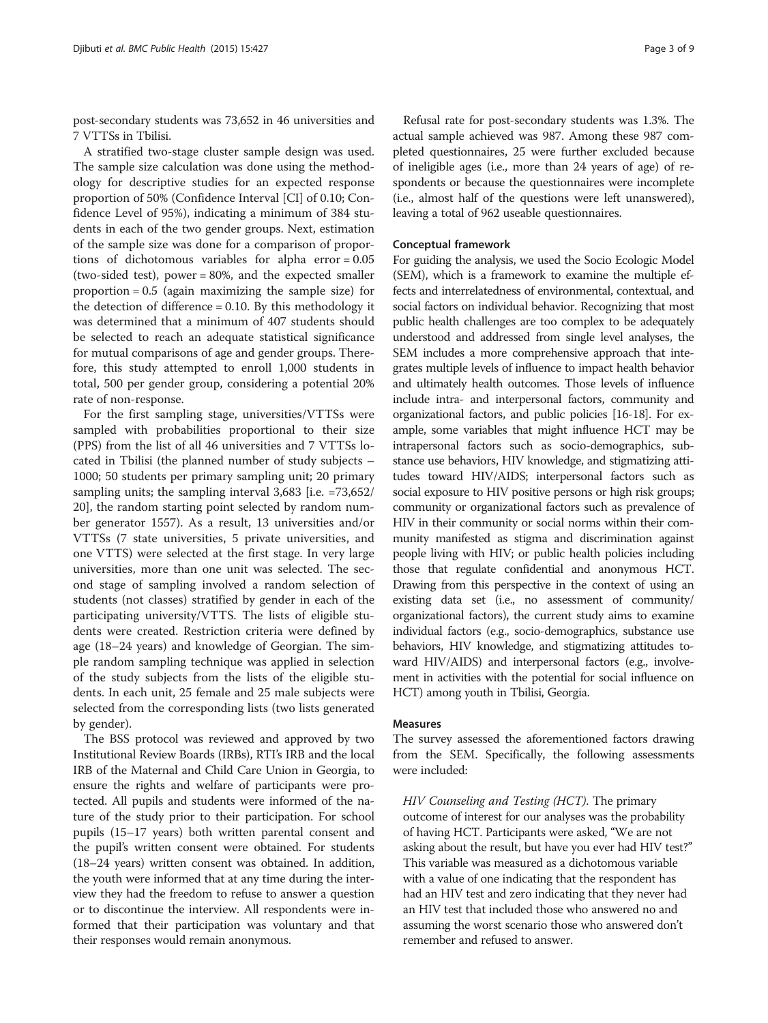post-secondary students was 73,652 in 46 universities and 7 VTTSs in Tbilisi.

A stratified two-stage cluster sample design was used. The sample size calculation was done using the methodology for descriptive studies for an expected response proportion of 50% (Confidence Interval [CI] of 0.10; Confidence Level of 95%), indicating a minimum of 384 students in each of the two gender groups. Next, estimation of the sample size was done for a comparison of proportions of dichotomous variables for alpha error = 0.05 (two-sided test), power = 80%, and the expected smaller proportion  $= 0.5$  (again maximizing the sample size) for the detection of difference  $= 0.10$ . By this methodology it was determined that a minimum of 407 students should be selected to reach an adequate statistical significance for mutual comparisons of age and gender groups. Therefore, this study attempted to enroll 1,000 students in total, 500 per gender group, considering a potential 20% rate of non-response.

For the first sampling stage, universities/VTTSs were sampled with probabilities proportional to their size (PPS) from the list of all 46 universities and 7 VTTSs located in Tbilisi (the planned number of study subjects – 1000; 50 students per primary sampling unit; 20 primary sampling units; the sampling interval 3,683 [i.e. =73,652/ 20], the random starting point selected by random number generator 1557). As a result, 13 universities and/or VTTSs (7 state universities, 5 private universities, and one VTTS) were selected at the first stage. In very large universities, more than one unit was selected. The second stage of sampling involved a random selection of students (not classes) stratified by gender in each of the participating university/VTTS. The lists of eligible students were created. Restriction criteria were defined by age (18–24 years) and knowledge of Georgian. The simple random sampling technique was applied in selection of the study subjects from the lists of the eligible students. In each unit, 25 female and 25 male subjects were selected from the corresponding lists (two lists generated by gender).

The BSS protocol was reviewed and approved by two Institutional Review Boards (IRBs), RTI's IRB and the local IRB of the Maternal and Child Care Union in Georgia, to ensure the rights and welfare of participants were protected. All pupils and students were informed of the nature of the study prior to their participation. For school pupils (15–17 years) both written parental consent and the pupil's written consent were obtained. For students (18–24 years) written consent was obtained. In addition, the youth were informed that at any time during the interview they had the freedom to refuse to answer a question or to discontinue the interview. All respondents were informed that their participation was voluntary and that their responses would remain anonymous.

Refusal rate for post-secondary students was 1.3%. The actual sample achieved was 987. Among these 987 completed questionnaires, 25 were further excluded because of ineligible ages (i.e., more than 24 years of age) of respondents or because the questionnaires were incomplete (i.e., almost half of the questions were left unanswered), leaving a total of 962 useable questionnaires.

#### Conceptual framework

For guiding the analysis, we used the Socio Ecologic Model (SEM), which is a framework to examine the multiple effects and interrelatedness of environmental, contextual, and social factors on individual behavior. Recognizing that most public health challenges are too complex to be adequately understood and addressed from single level analyses, the SEM includes a more comprehensive approach that integrates multiple levels of influence to impact health behavior and ultimately health outcomes. Those levels of influence include intra- and interpersonal factors, community and organizational factors, and public policies [\[16-18](#page-7-0)]. For example, some variables that might influence HCT may be intrapersonal factors such as socio-demographics, substance use behaviors, HIV knowledge, and stigmatizing attitudes toward HIV/AIDS; interpersonal factors such as social exposure to HIV positive persons or high risk groups; community or organizational factors such as prevalence of HIV in their community or social norms within their community manifested as stigma and discrimination against people living with HIV; or public health policies including those that regulate confidential and anonymous HCT. Drawing from this perspective in the context of using an existing data set (i.e., no assessment of community/ organizational factors), the current study aims to examine individual factors (e.g., socio-demographics, substance use behaviors, HIV knowledge, and stigmatizing attitudes toward HIV/AIDS) and interpersonal factors (e.g., involvement in activities with the potential for social influence on HCT) among youth in Tbilisi, Georgia.

### Measures

The survey assessed the aforementioned factors drawing from the SEM. Specifically, the following assessments were included:

HIV Counseling and Testing (HCT). The primary outcome of interest for our analyses was the probability of having HCT. Participants were asked, "We are not asking about the result, but have you ever had HIV test?" This variable was measured as a dichotomous variable with a value of one indicating that the respondent has had an HIV test and zero indicating that they never had an HIV test that included those who answered no and assuming the worst scenario those who answered don't remember and refused to answer.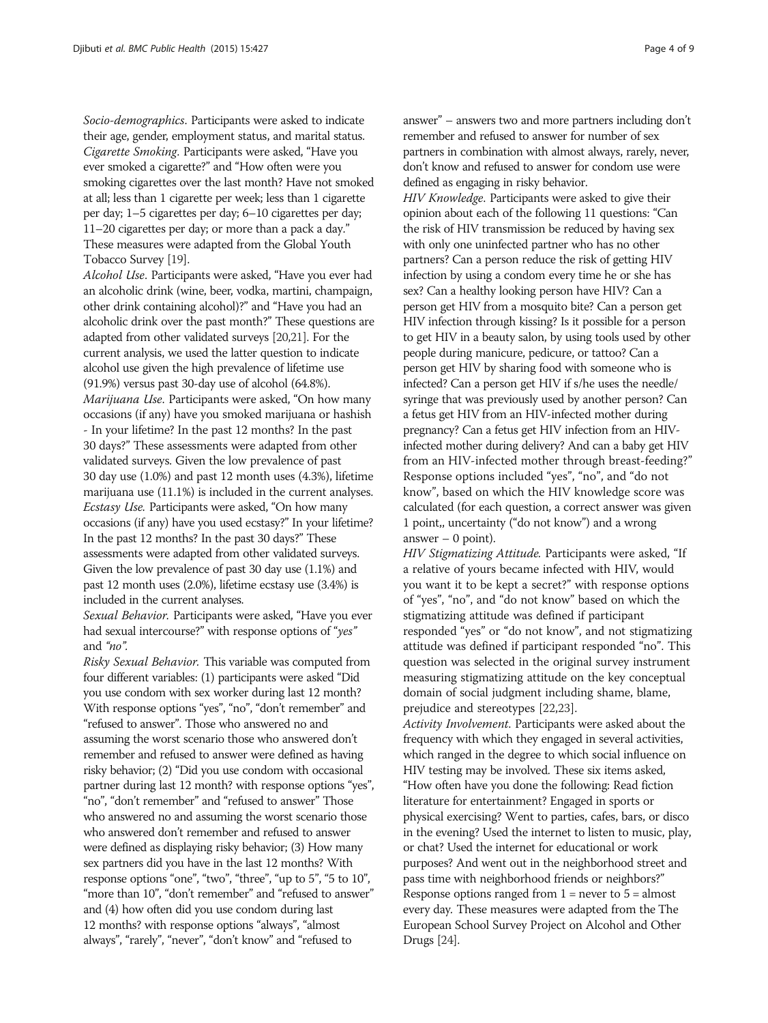Socio-demographics. Participants were asked to indicate their age, gender, employment status, and marital status. Cigarette Smoking. Participants were asked, "Have you ever smoked a cigarette?" and "How often were you smoking cigarettes over the last month? Have not smoked at all; less than 1 cigarette per week; less than 1 cigarette per day; 1–5 cigarettes per day; 6–10 cigarettes per day; 11–20 cigarettes per day; or more than a pack a day." These measures were adapted from the Global Youth Tobacco Survey [[19](#page-7-0)].

Alcohol Use. Participants were asked, "Have you ever had an alcoholic drink (wine, beer, vodka, martini, champaign, other drink containing alcohol)?" and "Have you had an alcoholic drink over the past month?" These questions are adapted from other validated surveys [\[20](#page-7-0),[21\]](#page-7-0). For the current analysis, we used the latter question to indicate alcohol use given the high prevalence of lifetime use (91.9%) versus past 30-day use of alcohol (64.8%). Marijuana Use. Participants were asked, "On how many occasions (if any) have you smoked marijuana or hashish - In your lifetime? In the past 12 months? In the past 30 days?" These assessments were adapted from other validated surveys. Given the low prevalence of past 30 day use (1.0%) and past 12 month uses (4.3%), lifetime marijuana use (11.1%) is included in the current analyses. Ecstasy Use. Participants were asked, "On how many occasions (if any) have you used ecstasy?" In your lifetime? In the past 12 months? In the past 30 days?" These assessments were adapted from other validated surveys. Given the low prevalence of past 30 day use (1.1%) and past 12 month uses (2.0%), lifetime ecstasy use (3.4%) is included in the current analyses.

Sexual Behavior. Participants were asked, "Have you ever had sexual intercourse?" with response options of "yes" and "no".

Risky Sexual Behavior. This variable was computed from four different variables: (1) participants were asked "Did you use condom with sex worker during last 12 month? With response options "yes", "no", "don't remember" and "refused to answer". Those who answered no and assuming the worst scenario those who answered don't remember and refused to answer were defined as having risky behavior; (2) "Did you use condom with occasional partner during last 12 month? with response options "yes", "no", "don't remember" and "refused to answer" Those who answered no and assuming the worst scenario those who answered don't remember and refused to answer were defined as displaying risky behavior; (3) How many sex partners did you have in the last 12 months? With response options "one", "two", "three", "up to 5", "5 to 10", "more than 10", "don't remember" and "refused to answer" and (4) how often did you use condom during last 12 months? with response options "always", "almost always", "rarely", "never", "don't know" and "refused to

remember and refused to answer for number of sex partners in combination with almost always, rarely, never, don't know and refused to answer for condom use were defined as engaging in risky behavior.

HIV Knowledge. Participants were asked to give their opinion about each of the following 11 questions: "Can the risk of HIV transmission be reduced by having sex with only one uninfected partner who has no other partners? Can a person reduce the risk of getting HIV infection by using a condom every time he or she has sex? Can a healthy looking person have HIV? Can a person get HIV from a mosquito bite? Can a person get HIV infection through kissing? Is it possible for a person to get HIV in a beauty salon, by using tools used by other people during manicure, pedicure, or tattoo? Can a person get HIV by sharing food with someone who is infected? Can a person get HIV if s/he uses the needle/ syringe that was previously used by another person? Can a fetus get HIV from an HIV-infected mother during pregnancy? Can a fetus get HIV infection from an HIVinfected mother during delivery? And can a baby get HIV from an HIV-infected mother through breast-feeding?" Response options included "yes", "no", and "do not know", based on which the HIV knowledge score was calculated (for each question, a correct answer was given 1 point,, uncertainty ("do not know") and a wrong answer  $-0$  point).

HIV Stigmatizing Attitude. Participants were asked, "If a relative of yours became infected with HIV, would you want it to be kept a secret?" with response options of "yes", "no", and "do not know" based on which the stigmatizing attitude was defined if participant responded "yes" or "do not know", and not stigmatizing attitude was defined if participant responded "no". This question was selected in the original survey instrument measuring stigmatizing attitude on the key conceptual domain of social judgment including shame, blame, prejudice and stereotypes [\[22,23\]](#page-8-0).

Activity Involvement. Participants were asked about the frequency with which they engaged in several activities, which ranged in the degree to which social influence on HIV testing may be involved. These six items asked, "How often have you done the following: Read fiction literature for entertainment? Engaged in sports or physical exercising? Went to parties, cafes, bars, or disco in the evening? Used the internet to listen to music, play, or chat? Used the internet for educational or work purposes? And went out in the neighborhood street and pass time with neighborhood friends or neighbors?" Response options ranged from  $1 =$  never to  $5 =$  almost every day. These measures were adapted from the The European School Survey Project on Alcohol and Other Drugs [\[24\]](#page-8-0).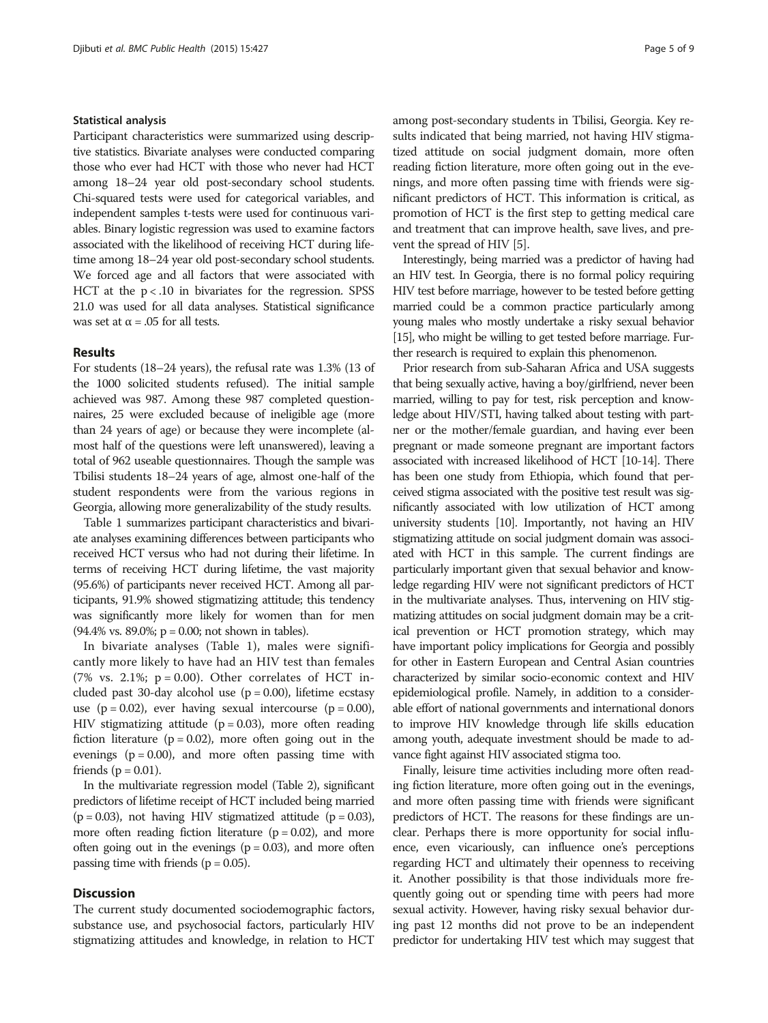#### Statistical analysis

Participant characteristics were summarized using descriptive statistics. Bivariate analyses were conducted comparing those who ever had HCT with those who never had HCT among 18–24 year old post-secondary school students. Chi-squared tests were used for categorical variables, and independent samples t-tests were used for continuous variables. Binary logistic regression was used to examine factors associated with the likelihood of receiving HCT during lifetime among 18–24 year old post-secondary school students. We forced age and all factors that were associated with HCT at the  $p < .10$  in bivariates for the regression. SPSS 21.0 was used for all data analyses. Statistical significance was set at  $\alpha = .05$  for all tests.

#### Results

For students (18–24 years), the refusal rate was 1.3% (13 of the 1000 solicited students refused). The initial sample achieved was 987. Among these 987 completed questionnaires, 25 were excluded because of ineligible age (more than 24 years of age) or because they were incomplete (almost half of the questions were left unanswered), leaving a total of 962 useable questionnaires. Though the sample was Tbilisi students 18–24 years of age, almost one-half of the student respondents were from the various regions in Georgia, allowing more generalizability of the study results.

Table [1](#page-5-0) summarizes participant characteristics and bivariate analyses examining differences between participants who received HCT versus who had not during their lifetime. In terms of receiving HCT during lifetime, the vast majority (95.6%) of participants never received HCT. Among all participants, 91.9% showed stigmatizing attitude; this tendency was significantly more likely for women than for men (94.4% vs. 89.0%; p = 0.00; not shown in tables).

In bivariate analyses (Table [1](#page-5-0)), males were significantly more likely to have had an HIV test than females  $(7\% \text{ vs. } 2.1\%; \text{ p} = 0.00)$ . Other correlates of HCT included past 30-day alcohol use  $(p = 0.00)$ , lifetime ecstasy use ( $p = 0.02$ ), ever having sexual intercourse ( $p = 0.00$ ), HIV stigmatizing attitude ( $p = 0.03$ ), more often reading fiction literature ( $p = 0.02$ ), more often going out in the evenings  $(p = 0.00)$ , and more often passing time with friends ( $p = 0.01$ ).

In the multivariate regression model (Table [2\)](#page-6-0), significant predictors of lifetime receipt of HCT included being married  $(p = 0.03)$ , not having HIV stigmatized attitude  $(p = 0.03)$ , more often reading fiction literature ( $p = 0.02$ ), and more often going out in the evenings  $(p = 0.03)$ , and more often passing time with friends ( $p = 0.05$ ).

# **Discussion**

The current study documented sociodemographic factors, substance use, and psychosocial factors, particularly HIV stigmatizing attitudes and knowledge, in relation to HCT among post-secondary students in Tbilisi, Georgia. Key results indicated that being married, not having HIV stigmatized attitude on social judgment domain, more often reading fiction literature, more often going out in the evenings, and more often passing time with friends were significant predictors of HCT. This information is critical, as promotion of HCT is the first step to getting medical care and treatment that can improve health, save lives, and prevent the spread of HIV [\[5\]](#page-7-0).

Interestingly, being married was a predictor of having had an HIV test. In Georgia, there is no formal policy requiring HIV test before marriage, however to be tested before getting married could be a common practice particularly among young males who mostly undertake a risky sexual behavior [[15\]](#page-7-0), who might be willing to get tested before marriage. Further research is required to explain this phenomenon.

Prior research from sub-Saharan Africa and USA suggests that being sexually active, having a boy/girlfriend, never been married, willing to pay for test, risk perception and knowledge about HIV/STI, having talked about testing with partner or the mother/female guardian, and having ever been pregnant or made someone pregnant are important factors associated with increased likelihood of HCT [\[10-14](#page-7-0)]. There has been one study from Ethiopia, which found that perceived stigma associated with the positive test result was significantly associated with low utilization of HCT among university students [\[10\]](#page-7-0). Importantly, not having an HIV stigmatizing attitude on social judgment domain was associated with HCT in this sample. The current findings are particularly important given that sexual behavior and knowledge regarding HIV were not significant predictors of HCT in the multivariate analyses. Thus, intervening on HIV stigmatizing attitudes on social judgment domain may be a critical prevention or HCT promotion strategy, which may have important policy implications for Georgia and possibly for other in Eastern European and Central Asian countries characterized by similar socio-economic context and HIV epidemiological profile. Namely, in addition to a considerable effort of national governments and international donors to improve HIV knowledge through life skills education among youth, adequate investment should be made to advance fight against HIV associated stigma too.

Finally, leisure time activities including more often reading fiction literature, more often going out in the evenings, and more often passing time with friends were significant predictors of HCT. The reasons for these findings are unclear. Perhaps there is more opportunity for social influence, even vicariously, can influence one's perceptions regarding HCT and ultimately their openness to receiving it. Another possibility is that those individuals more frequently going out or spending time with peers had more sexual activity. However, having risky sexual behavior during past 12 months did not prove to be an independent predictor for undertaking HIV test which may suggest that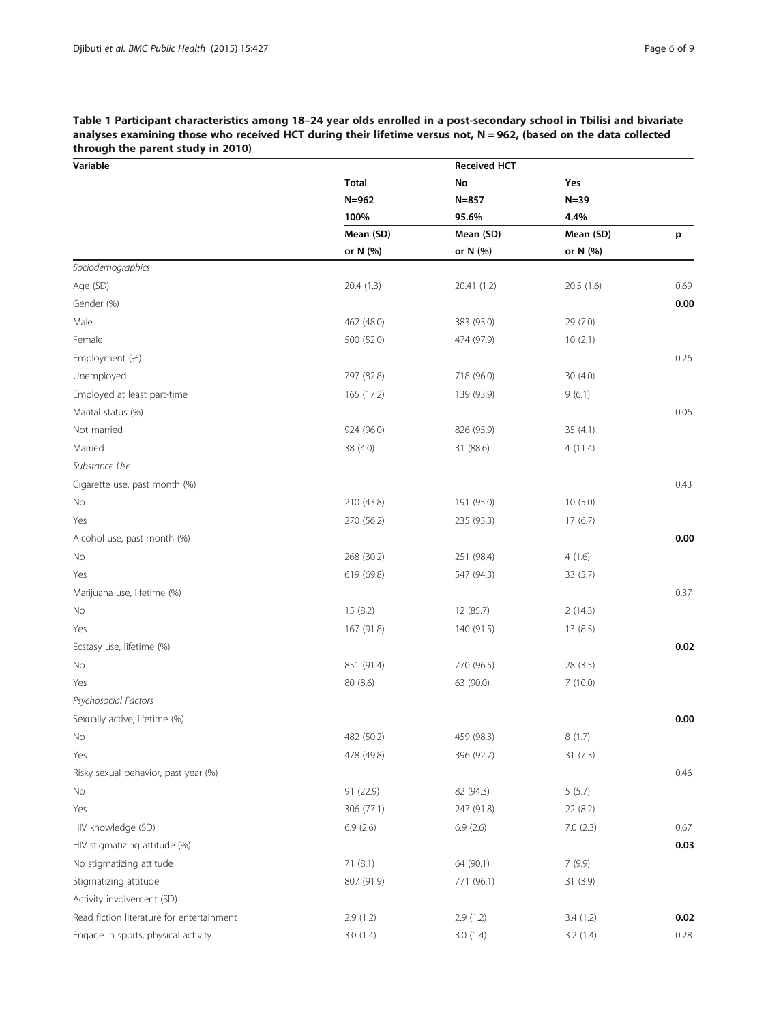<span id="page-5-0"></span>Table 1 Participant characteristics among 18–24 year olds enrolled in a post-secondary school in Tbilisi and bivariate analyses examining those who received HCT during their lifetime versus not, N = 962, (based on the data collected through the parent study in 2010)

| Variable                                  | <b>Total</b><br>$N = 962$ | <b>Received HCT</b>                   |                                      |      |
|-------------------------------------------|---------------------------|---------------------------------------|--------------------------------------|------|
|                                           |                           | No<br>$N = 857$<br>95.6%<br>Mean (SD) | Yes<br>$N = 39$<br>4.4%<br>Mean (SD) | p    |
|                                           |                           |                                       |                                      |      |
|                                           | 100%                      |                                       |                                      |      |
|                                           | Mean (SD)                 |                                       |                                      |      |
|                                           | or N (%)                  | or N (%)                              | or N (%)                             |      |
| Sociodemographics                         |                           |                                       |                                      |      |
| Age (SD)                                  | 20.4(1.3)                 | 20.41 (1.2)                           | 20.5(1.6)                            | 0.69 |
| Gender (%)                                |                           |                                       |                                      | 0.00 |
| Male                                      | 462 (48.0)                | 383 (93.0)                            | 29 (7.0)                             |      |
| Female                                    | 500 (52.0)                | 474 (97.9)                            | 10(2.1)                              |      |
| Employment (%)                            |                           |                                       |                                      | 0.26 |
| Unemployed                                | 797 (82.8)                | 718 (96.0)                            | 30(4.0)                              |      |
| Employed at least part-time               | 165 (17.2)                | 139 (93.9)                            | 9(6.1)                               |      |
| Marital status (%)                        |                           |                                       |                                      | 0.06 |
| Not married                               | 924 (96.0)                | 826 (95.9)                            | 35(4.1)                              |      |
| Married                                   | 38 (4.0)                  | 31 (88.6)                             | 4(11.4)                              |      |
| Substance Use                             |                           |                                       |                                      |      |
| Cigarette use, past month (%)             |                           |                                       |                                      | 0.43 |
| No                                        | 210 (43.8)                | 191 (95.0)                            | 10(5.0)                              |      |
| Yes                                       | 270 (56.2)                | 235 (93.3)                            | 17(6.7)                              |      |
| Alcohol use, past month (%)               |                           |                                       |                                      | 0.00 |
| No                                        | 268 (30.2)                | 251 (98.4)                            | 4(1.6)                               |      |
| Yes                                       | 619 (69.8)                | 547 (94.3)                            | 33(5.7)                              |      |
| Marijuana use, lifetime (%)               |                           |                                       |                                      | 0.37 |
| $\rm No$                                  | 15 (8.2)                  | 12 (85.7)                             | 2(14.3)                              |      |
| Yes                                       | 167 (91.8)                | 140 (91.5)                            | 13(8.5)                              |      |
| Ecstasy use, lifetime (%)                 |                           |                                       |                                      | 0.02 |
| No                                        | 851 (91.4)                | 770 (96.5)                            | 28 (3.5)                             |      |
| Yes                                       | 80 (8.6)                  | 63 (90.0)                             | 7(10.0)                              |      |
| Psychosocial Factors                      |                           |                                       |                                      |      |
| Sexually active, lifetime (%)             |                           |                                       |                                      | 0.00 |
| No                                        | 482 (50.2)                | 459 (98.3)                            | 8(1.7)                               |      |
| Yes                                       | 478 (49.8)                | 396 (92.7)                            | 31(7.3)                              |      |
| Risky sexual behavior, past year (%)      |                           |                                       |                                      | 0.46 |
| No                                        | 91 (22.9)                 | 82 (94.3)                             | 5(5.7)                               |      |
| Yes                                       | 306 (77.1)                | 247 (91.8)                            | 22(8.2)                              |      |
| HIV knowledge (SD)                        | 6.9(2.6)                  | 6.9(2.6)                              | 7.0(2.3)                             | 0.67 |
| HIV stigmatizing attitude (%)             |                           |                                       |                                      | 0.03 |
| No stigmatizing attitude                  | 71 (8.1)                  | 64 (90.1)                             | 7(9.9)                               |      |
| Stigmatizing attitude                     | 807 (91.9)                | 771 (96.1)                            | 31 (3.9)                             |      |
| Activity involvement (SD)                 |                           |                                       |                                      |      |
| Read fiction literature for entertainment | 2.9(1.2)                  | 2.9(1.2)                              | 3.4(1.2)                             | 0.02 |
| Engage in sports, physical activity       | 3.0(1.4)                  | 3.0(1.4)                              | 3.2(1.4)                             | 0.28 |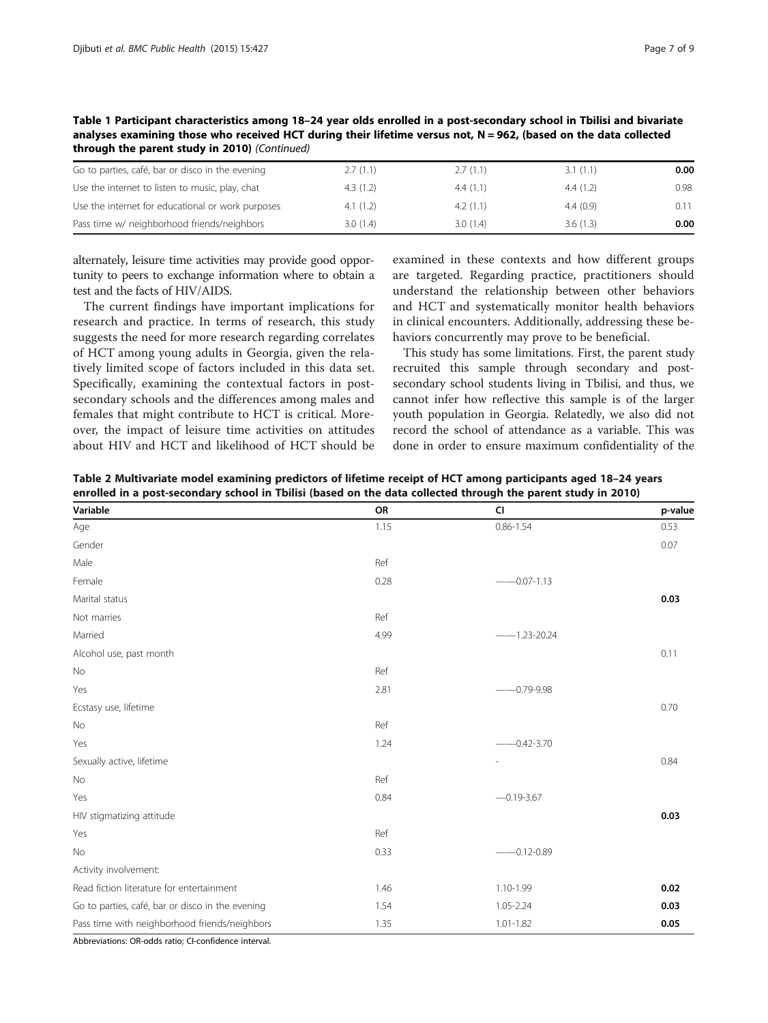| Go to parties, café, bar or disco in the evening  | 2.7(1.1) | 2.7(1.1) | 3.1(1.1) | 0.00 |
|---------------------------------------------------|----------|----------|----------|------|
| Use the internet to listen to music, play, chat   | 4.3(1.2) | 4.4(1.1) | 4.4(1.2) | 0.98 |
| Use the internet for educational or work purposes | 4.1(1.2) | 4.2(1.1) | 4.4(0.9) | 0.11 |
| Pass time w/ neighborhood friends/neighbors       | 3.0(1.4) | 3.0(1.4) | 3.6(1.3) | 0.00 |

<span id="page-6-0"></span>Table 1 Participant characteristics among 18–24 year olds enrolled in a post-secondary school in Tbilisi and bivariate analyses examining those who received HCT during their lifetime versus not,  $N = 962$ , (based on the data collected through the parent study in 2010) (Continued)

alternately, leisure time activities may provide good opportunity to peers to exchange information where to obtain a test and the facts of HIV/AIDS.

The current findings have important implications for research and practice. In terms of research, this study suggests the need for more research regarding correlates of HCT among young adults in Georgia, given the relatively limited scope of factors included in this data set. Specifically, examining the contextual factors in postsecondary schools and the differences among males and females that might contribute to HCT is critical. Moreover, the impact of leisure time activities on attitudes about HIV and HCT and likelihood of HCT should be

examined in these contexts and how different groups are targeted. Regarding practice, practitioners should understand the relationship between other behaviors and HCT and systematically monitor health behaviors in clinical encounters. Additionally, addressing these behaviors concurrently may prove to be beneficial.

This study has some limitations. First, the parent study recruited this sample through secondary and postsecondary school students living in Tbilisi, and thus, we cannot infer how reflective this sample is of the larger youth population in Georgia. Relatedly, we also did not record the school of attendance as a variable. This was done in order to ensure maximum confidentiality of the

Table 2 Multivariate model examining predictors of lifetime receipt of HCT among participants aged 18–24 years enrolled in a post-secondary school in Tbilisi (based on the data collected through the parent study in 2010)

| Variable                                         | OR   | CI              | p-value |
|--------------------------------------------------|------|-----------------|---------|
| Age                                              | 1.15 | $0.86 - 1.54$   | 0.53    |
| Gender                                           |      |                 | 0.07    |
| Male                                             | Ref  |                 |         |
| Female                                           | 0.28 | $-0.07 - 1.13$  |         |
| Marital status                                   |      |                 | 0.03    |
| Not marries                                      | Ref  |                 |         |
| Married                                          | 4.99 | $-1.23 - 20.24$ |         |
| Alcohol use, past month                          |      |                 | 0.11    |
| No                                               | Ref  |                 |         |
| Yes                                              | 2.81 | $-0.79 - 9.98$  |         |
| Ecstasy use, lifetime                            |      |                 | 0.70    |
| No                                               | Ref  |                 |         |
| Yes                                              | 1.24 | $-0.42 - 3.70$  |         |
| Sexually active, lifetime                        |      |                 | 0.84    |
| No                                               | Ref  |                 |         |
| Yes                                              | 0.84 | $-0.19 - 3.67$  |         |
| HIV stigmatizing attitude                        |      |                 | 0.03    |
| Yes                                              | Ref  |                 |         |
| No                                               | 0.33 | $-$ 0.12-0.89   |         |
| Activity involvement:                            |      |                 |         |
| Read fiction literature for entertainment        | 1.46 | 1.10-1.99       | 0.02    |
| Go to parties, café, bar or disco in the evening | 1.54 | 1.05-2.24       | 0.03    |
| Pass time with neighborhood friends/neighbors    | 1.35 | $1.01 - 1.82$   | 0.05    |

Abbreviations: OR-odds ratio; CI-confidence interval.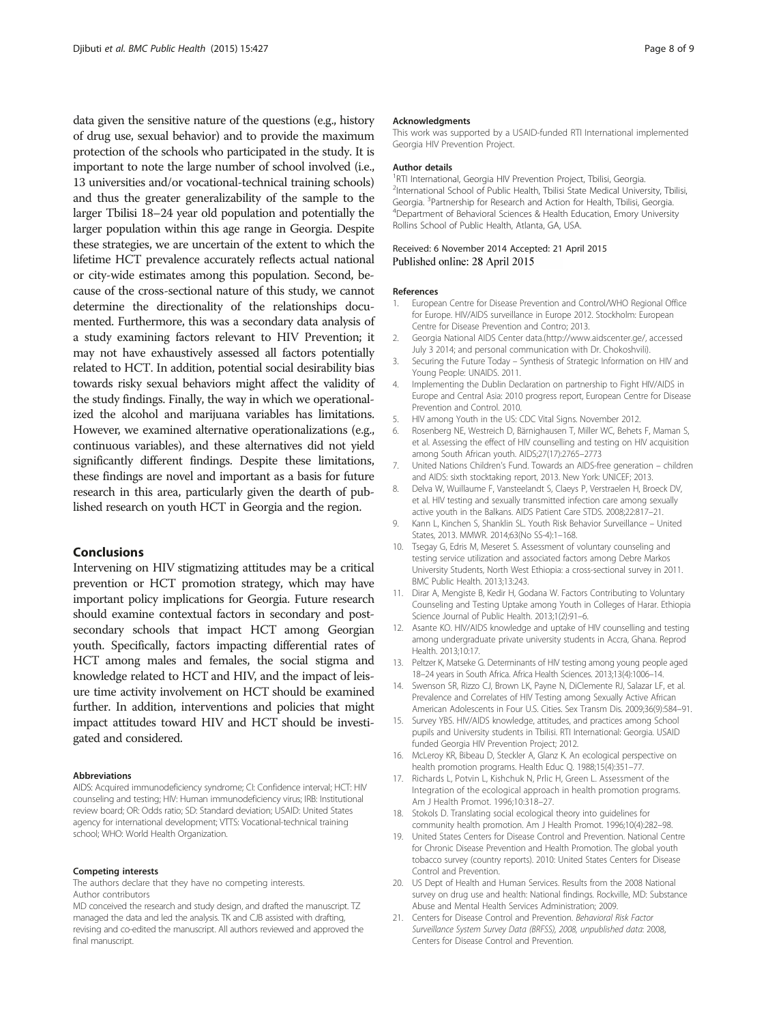<span id="page-7-0"></span>data given the sensitive nature of the questions (e.g., history of drug use, sexual behavior) and to provide the maximum protection of the schools who participated in the study. It is important to note the large number of school involved (i.e., 13 universities and/or vocational-technical training schools) and thus the greater generalizability of the sample to the larger Tbilisi 18–24 year old population and potentially the larger population within this age range in Georgia. Despite these strategies, we are uncertain of the extent to which the lifetime HCT prevalence accurately reflects actual national or city-wide estimates among this population. Second, because of the cross-sectional nature of this study, we cannot determine the directionality of the relationships documented. Furthermore, this was a secondary data analysis of a study examining factors relevant to HIV Prevention; it may not have exhaustively assessed all factors potentially related to HCT. In addition, potential social desirability bias towards risky sexual behaviors might affect the validity of the study findings. Finally, the way in which we operationalized the alcohol and marijuana variables has limitations. However, we examined alternative operationalizations (e.g., continuous variables), and these alternatives did not yield significantly different findings. Despite these limitations, these findings are novel and important as a basis for future research in this area, particularly given the dearth of published research on youth HCT in Georgia and the region.

#### Conclusions

Intervening on HIV stigmatizing attitudes may be a critical prevention or HCT promotion strategy, which may have important policy implications for Georgia. Future research should examine contextual factors in secondary and postsecondary schools that impact HCT among Georgian youth. Specifically, factors impacting differential rates of HCT among males and females, the social stigma and knowledge related to HCT and HIV, and the impact of leisure time activity involvement on HCT should be examined further. In addition, interventions and policies that might impact attitudes toward HIV and HCT should be investigated and considered.

#### Abbreviations

AIDS: Acquired immunodeficiency syndrome; CI: Confidence interval; HCT: HIV counseling and testing; HIV: Human immunodeficiency virus; IRB: Institutional review board; OR: Odds ratio; SD: Standard deviation; USAID: United States agency for international development; VTTS: Vocational-technical training school; WHO: World Health Organization.

#### Competing interests

The authors declare that they have no competing interests. Author contributors

MD conceived the research and study design, and drafted the manuscript. TZ managed the data and led the analysis. TK and CJB assisted with drafting, revising and co-edited the manuscript. All authors reviewed and approved the final manuscript.

#### Acknowledgments

This work was supported by a USAID-funded RTI International implemented Georgia HIV Prevention Project.

#### Author details

<sup>1</sup>RTI International, Georgia HIV Prevention Project, Tbilisi, Georgia. <sup>2</sup>International School of Public Health, Tbilisi State Medical University, Tbilisi Georgia. <sup>3</sup>Partnership for Research and Action for Health, Tbilisi, Georgia.<br><sup>4</sup>Department of Behavioral Sciences & Health Education. Emory University <sup>4</sup>Department of Behavioral Sciences & Health Education, Emory University Rollins School of Public Health, Atlanta, GA, USA.

#### Received: 6 November 2014 Accepted: 21 April 2015 Published online: 28 April 2015

#### References

- 1. European Centre for Disease Prevention and Control/WHO Regional Office for Europe. HIV/AIDS surveillance in Europe 2012. Stockholm: European Centre for Disease Prevention and Contro; 2013.
- 2. Georgia National AIDS Center data.([http://www.aidscenter.ge/,](http://www.aidscenter.ge/) accessed July 3 2014; and personal communication with Dr. Chokoshvili).
- 3. Securing the Future Today Synthesis of Strategic Information on HIV and Young People: UNAIDS. 2011.
- 4. Implementing the Dublin Declaration on partnership to Fight HIV/AIDS in Europe and Central Asia: 2010 progress report, European Centre for Disease Prevention and Control. 2010.
- 5. HIV among Youth in the US: CDC Vital Signs. November 2012.
- 6. Rosenberg NE, Westreich D, Bärnighausen T, Miller WC, Behets F, Maman S, et al. Assessing the effect of HIV counselling and testing on HIV acquisition among South African youth. AIDS;27(17):2765–2773
- 7. United Nations Children's Fund. Towards an AIDS-free generation children and AIDS: sixth stocktaking report, 2013. New York: UNICEF; 2013.
- 8. Delva W, Wuillaume F, Vansteelandt S, Claeys P, Verstraelen H, Broeck DV, et al. HIV testing and sexually transmitted infection care among sexually active youth in the Balkans. AIDS Patient Care STDS. 2008;22:817–21.
- 9. Kann L, Kinchen S, Shanklin SL. Youth Risk Behavior Surveillance United States, 2013. MMWR. 2014;63(No SS-4):1–168.
- 10. Tsegay G, Edris M, Meseret S. Assessment of voluntary counseling and testing service utilization and associated factors among Debre Markos University Students, North West Ethiopia: a cross-sectional survey in 2011. BMC Public Health. 2013;13:243.
- 11. Dirar A, Mengiste B, Kedir H, Godana W. Factors Contributing to Voluntary Counseling and Testing Uptake among Youth in Colleges of Harar. Ethiopia Science Journal of Public Health. 2013;1(2):91–6.
- 12. Asante KO. HIV/AIDS knowledge and uptake of HIV counselling and testing among undergraduate private university students in Accra, Ghana. Reprod Health. 2013;10:17.
- 13. Peltzer K, Matseke G. Determinants of HIV testing among young people aged 18–24 years in South Africa. Africa Health Sciences. 2013;13(4):1006–14.
- 14. Swenson SR, Rizzo CJ, Brown LK, Payne N, DiClemente RJ, Salazar LF, et al. Prevalence and Correlates of HIV Testing among Sexually Active African American Adolescents in Four U.S. Cities. Sex Transm Dis. 2009;36(9):584–91.
- 15. Survey YBS. HIV/AIDS knowledge, attitudes, and practices among School pupils and University students in Tbilisi. RTI International: Georgia. USAID funded Georgia HIV Prevention Project; 2012.
- 16. McLeroy KR, Bibeau D, Steckler A, Glanz K. An ecological perspective on health promotion programs. Health Educ Q. 1988;15(4):351–77.
- 17. Richards L, Potvin L, Kishchuk N, Prlic H, Green L. Assessment of the Integration of the ecological approach in health promotion programs. Am J Health Promot. 1996;10:318–27.
- 18. Stokols D. Translating social ecological theory into guidelines for community health promotion. Am J Health Promot. 1996;10(4):282–98.
- 19. United States Centers for Disease Control and Prevention. National Centre for Chronic Disease Prevention and Health Promotion. The global youth tobacco survey (country reports). 2010: United States Centers for Disease Control and Prevention.
- 20. US Dept of Health and Human Services. Results from the 2008 National survey on drug use and health: National findings. Rockville, MD: Substance Abuse and Mental Health Services Administration; 2009.
- 21. Centers for Disease Control and Prevention. Behavioral Risk Factor Surveillance System Survey Data (BRFSS), 2008, unpublished data: 2008, Centers for Disease Control and Prevention.